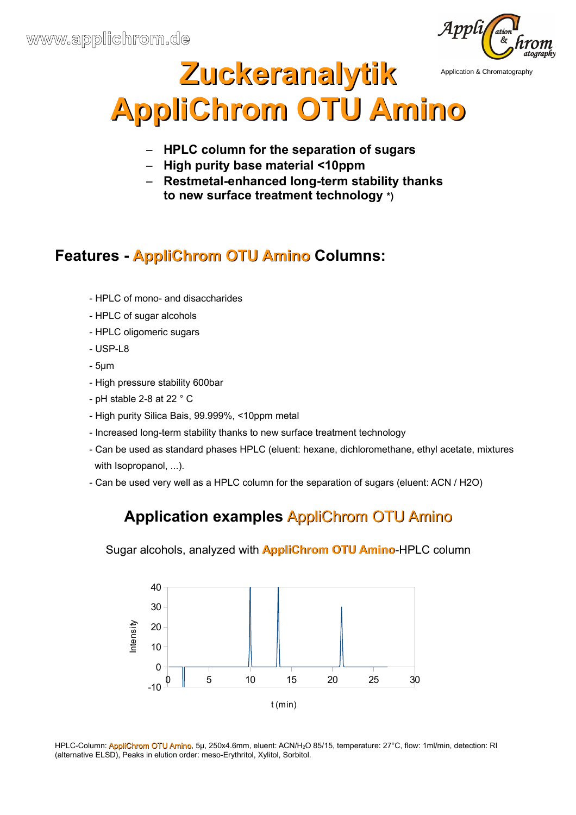

# **Zuckeranalytik AppliChrom OTU Amino** Application & Chromatography

- **HPLC column for the separation of sugars**
- **High purity base material <10ppm**
- **Restmetal-enhanced long-term stability thanks to new surface treatment technology \*)**

# **Features - AppliChrom OTU Amino Columns:**

- HPLC of mono- and disaccharides
- HPLC of sugar alcohols
- HPLC oligomeric sugars
- USP-L8
- 5μm
- High pressure stability 600bar
- pH stable 2-8 at 22 ° C
- High purity Silica Bais, 99.999%, <10ppm metal
- Increased long-term stability thanks to new surface treatment technology
- Can be used as standard phases HPLC (eluent: hexane, dichloromethane, ethyl acetate, mixtures with Isopropanol, ...).
- Can be used very well as a HPLC column for the separation of sugars (eluent: ACN / H2O)

## **Application examples** AppliChrom OTU Amino

Sugar alcohols, analyzed with **AppliChrom OTU Amino**-HPLC column



HPLC-Column: AppliChrom OTU Amino, 5µ, 250x4.6mm, eluent: ACN/H<sub>2</sub>O 85/15, temperature: 27°C, flow: 1ml/min, detection: RI (alternative ELSD), Peaks in elution order: meso-Erythritol, Xylitol, Sorbitol.